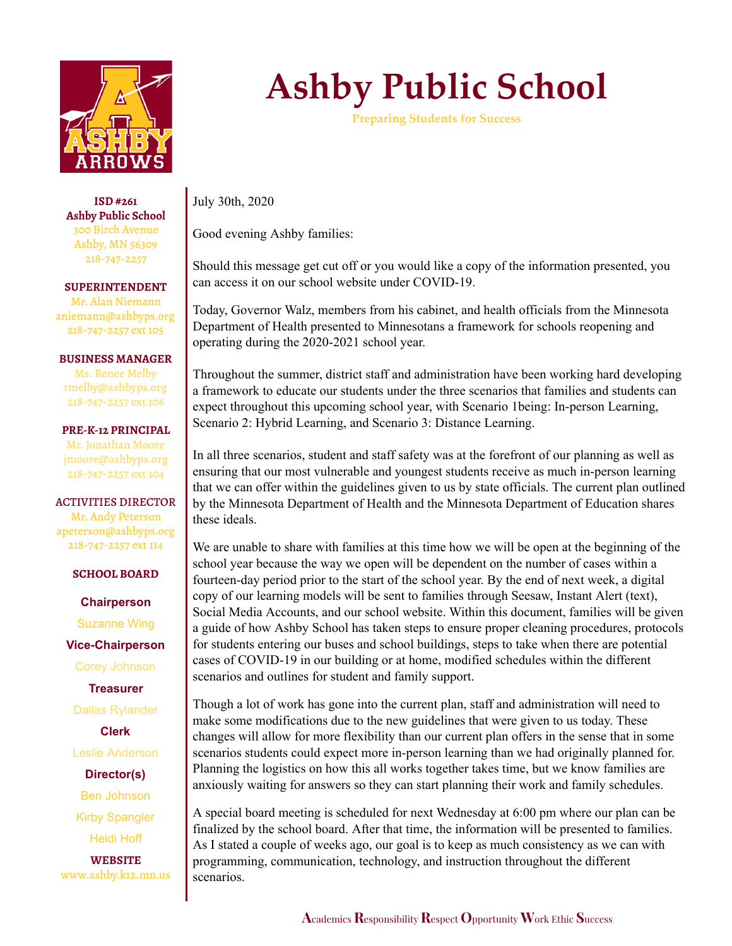

**ISD #261 Ashby Public School** 300 Birch Avenue Ashby, MN 56309 218-747-2257

**SUPERINTENDENT** Mr. Alan Niemann aniemann@ashbyps.org 218-747-2257 ext 105

**BUSINESS MANAGER**

Ms. Renee Melby rmelby@ashbyps.org 218-747-2257 ext 106

**PRE-K-12 PRINCIPAL** Mr. Jonathan Moore jmoore@ashbyps.org 218-747-2257 ext 104

ACTIVITIES DIRECTOR Mr. Andy Peterson apeterson@ashbyps.org 218-747-2257 ext 114

**SCHOOL BOARD**

**Chairperson** Suzanne Wing

**Vice-Chairperson**

Corey Johnson

**Treasurer**

Dallas Rylander

**Clerk**

Leslie Anderson

**Director(s)** Ben Johnson Kirby Spangler Heidi Hoff

**WEBSITE** www.ashby.k12.mn.us

## **Ashby Public School**

**Preparing Students for Success**

July 30th, 2020

Good evening Ashby families:

Should this message get cut off or you would like a copy of the information presented, you can access it on our school website under COVID-19.

Today, Governor Walz, members from his cabinet, and health officials from the Minnesota Department of Health presented to Minnesotans a framework for schools reopening and operating during the 2020-2021 school year.

Throughout the summer, district staff and administration have been working hard developing a framework to educate our students under the three scenarios that families and students can expect throughout this upcoming school year, with Scenario 1being: In-person Learning, Scenario 2: Hybrid Learning, and Scenario 3: Distance Learning.

In all three scenarios, student and staff safety was at the forefront of our planning as well as ensuring that our most vulnerable and youngest students receive as much in-person learning that we can offer within the guidelines given to us by state officials. The current plan outlined by the Minnesota Department of Health and the Minnesota Department of Education shares these ideals.

We are unable to share with families at this time how we will be open at the beginning of the school year because the way we open will be dependent on the number of cases within a fourteen-day period prior to the start of the school year. By the end of next week, a digital copy of our learning models will be sent to families through Seesaw, Instant Alert (text), Social Media Accounts, and our school website. Within this document, families will be given a guide of how Ashby School has taken steps to ensure proper cleaning procedures, protocols for students entering our buses and school buildings, steps to take when there are potential cases of COVID-19 in our building or at home, modified schedules within the different scenarios and outlines for student and family support.

Though a lot of work has gone into the current plan, staff and administration will need to make some modifications due to the new guidelines that were given to us today. These changes will allow for more flexibility than our current plan offers in the sense that in some scenarios students could expect more in-person learning than we had originally planned for. Planning the logistics on how this all works together takes time, but we know families are anxiously waiting for answers so they can start planning their work and family schedules.

A special board meeting is scheduled for next Wednesday at 6:00 pm where our plan can be finalized by the school board. After that time, the information will be presented to families. As I stated a couple of weeks ago, our goal is to keep as much consistency as we can with programming, communication, technology, and instruction throughout the different scenarios.